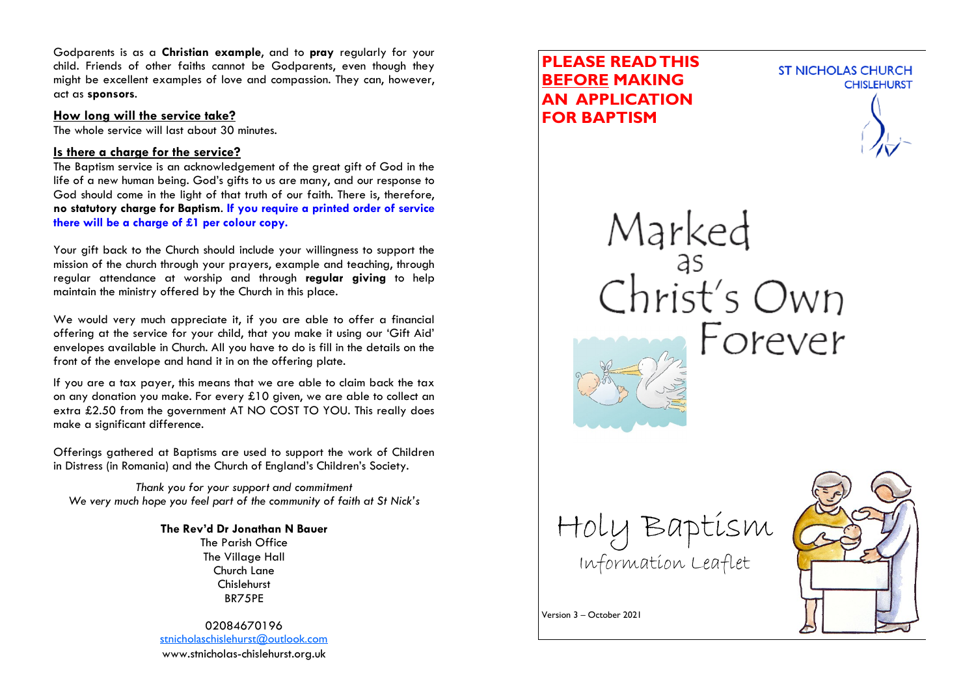Godparents is as a **Christian example**, and to **pray** regularly for your child. Friends of other faiths cannot be Godparents, even though they might be excellent examples of love and compassion. They can, however, act as **sponsors**.

#### **How long will the service take?**

The whole service will last about 30 minutes.

### **Is there a charge for the service?**

The Baptism service is an acknowledgement of the great gift of God in the life of a new human being. God's gifts to us are many, and our response to God should come in the light of that truth of our faith. There is, therefore, **no statutory charge for Baptism**. **If you require a printed order of service there will be a charge of £1 per colour copy.**

Your gift back to the Church should include your willingness to support the mission of the church through your prayers, example and teaching, through regular attendance at worship and through **regular giving** to help maintain the ministry offered by the Church in this place.

We would very much appreciate it, if you are able to offer a financial offering at the service for your child, that you make it using our 'Gift Aid' envelopes available in Church. All you have to do is fill in the details on the front of the envelope and hand it in on the offering plate.

If you are a tax payer, this means that we are able to claim back the tax on any donation you make. For every £10 given, we are able to collect an extra £2.50 from the government AT NO COST TO YOU. This really does make a significant difference.

Offerings gathered at Baptisms are used to support the work of Children in Distress (in Romania) and the Church of England's Children's Society.

*Thank you for your support and commitment We very much hope you feel part of the community of faith at St Nick's*

### **The Rev'd Dr Jonathan N Bauer**

The Parish Office The Village Hall Church Lane Chislehurst BR75PE

02084670196 [stnicholaschislehurst@outlook.com](mailto:stnicholaschislehurst@outlook.com) www.stnicholas-chislehurst.org.uk